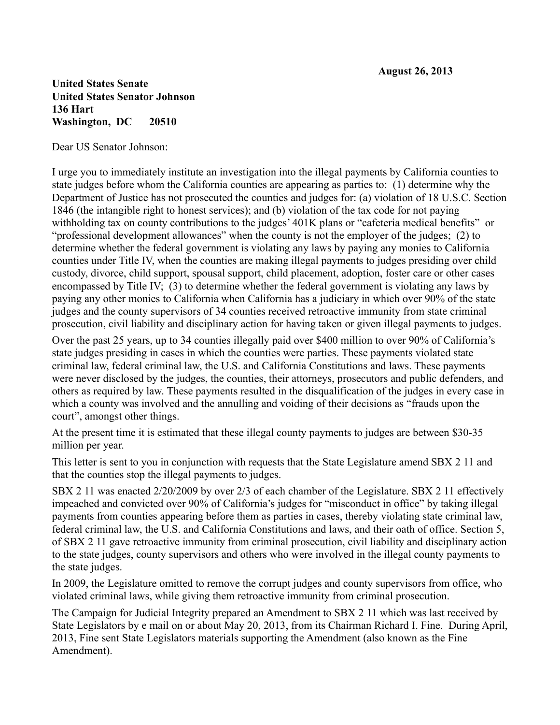## **United States Senate United States Senator Johnson 136 Hart Washington, DC 20510**

Dear US Senator Johnson:

I urge you to immediately institute an investigation into the illegal payments by California counties to state judges before whom the California counties are appearing as parties to: (1) determine why the Department of Justice has not prosecuted the counties and judges for: (a) violation of 18 U.S.C. Section 1846 (the intangible right to honest services); and (b) violation of the tax code for not paying withholding tax on county contributions to the judges' 401K plans or "cafeteria medical benefits" or "professional development allowances" when the county is not the employer of the judges; (2) to determine whether the federal government is violating any laws by paying any monies to California counties under Title IV, when the counties are making illegal payments to judges presiding over child custody, divorce, child support, spousal support, child placement, adoption, foster care or other cases encompassed by Title IV; (3) to determine whether the federal government is violating any laws by paying any other monies to California when California has a judiciary in which over 90% of the state judges and the county supervisors of 34 counties received retroactive immunity from state criminal prosecution, civil liability and disciplinary action for having taken or given illegal payments to judges.

Over the past 25 years, up to 34 counties illegally paid over \$400 million to over 90% of California's state judges presiding in cases in which the counties were parties. These payments violated state criminal law, federal criminal law, the U.S. and California Constitutions and laws. These payments were never disclosed by the judges, the counties, their attorneys, prosecutors and public defenders, and others as required by law. These payments resulted in the disqualification of the judges in every case in which a county was involved and the annulling and voiding of their decisions as "frauds upon the court", amongst other things.

At the present time it is estimated that these illegal county payments to judges are between \$30-35 million per year.

This letter is sent to you in conjunction with requests that the State Legislature amend SBX 2 11 and that the counties stop the illegal payments to judges.

SBX 2 11 was enacted 2/20/2009 by over 2/3 of each chamber of the Legislature. SBX 2 11 effectively impeached and convicted over 90% of California's judges for "misconduct in office" by taking illegal payments from counties appearing before them as parties in cases, thereby violating state criminal law, federal criminal law, the U.S. and California Constitutions and laws, and their oath of office. Section 5, of SBX 2 11 gave retroactive immunity from criminal prosecution, civil liability and disciplinary action to the state judges, county supervisors and others who were involved in the illegal county payments to the state judges.

In 2009, the Legislature omitted to remove the corrupt judges and county supervisors from office, who violated criminal laws, while giving them retroactive immunity from criminal prosecution.

The Campaign for Judicial Integrity prepared an Amendment to SBX 2 11 which was last received by State Legislators by e mail on or about May 20, 2013, from its Chairman Richard I. Fine. During April, 2013, Fine sent State Legislators materials supporting the Amendment (also known as the Fine Amendment).